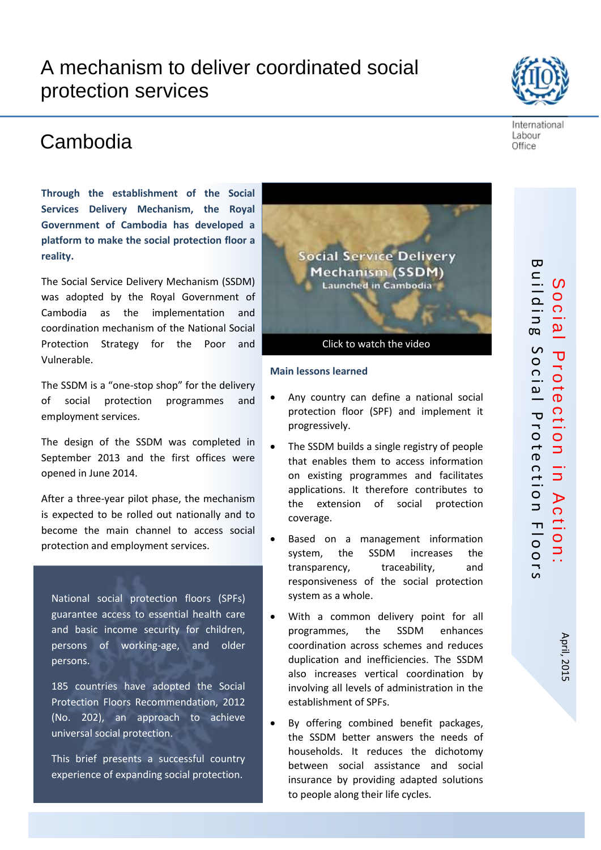# A mechanism to deliver coordinated social protection services

## Cambodia

**Through the establishment of the Social Services Delivery Mechanism, the Royal Government of Cambodia has developed a platform to make the social protection floor a reality.**

The Social Service Delivery Mechanism (SSDM) was adopted by the Royal Government of Cambodia as the implementation and coordination mechanism of the National Social Protection Strategy for the Poor and Vulnerable.

The SSDM is a "one-stop shop" for the delivery of social protection programmes and employment services.

The design of the SSDM was completed in September 2013 and the first offices were opened in June 2014.

After a three-year pilot phase, the mechanism is expected to be rolled out nationally and to become the main channel to access social protection and employment services.

National social protection floors (SPFs) guarantee access to essential health care and basic income security for children, persons of working-age, and older persons.

185 countries have adopted the Social Protection Floors Recommendation, 2012 (No. 202), an approach to achieve universal social protection.

This brief presents a successful country experience of expanding social protection.

#### **Main lessons learned**

- Any country can define a national social protection floor (SPF) and implement it progressively.
- The SSDM builds a single registry of people that enables them to access information on existing programmes and facilitates applications. It therefore contributes to the extension of social protection coverage.
- Based on a management information system, the SSDM increases the transparency, traceability, and responsiveness of the social protection system as a whole.
- With a common delivery point for all programmes, the SSDM enhances coordination across schemes and reduces duplication and inefficiencies. The SSDM also increases vertical coordination by involving all levels of administration in the establishment of SPFs.
- By offering combined benefit packages, the SSDM better answers the needs of households. It reduces the dichotomy between social assistance and social insurance by providing adapted solutions to people along their life cycles.





Labour Office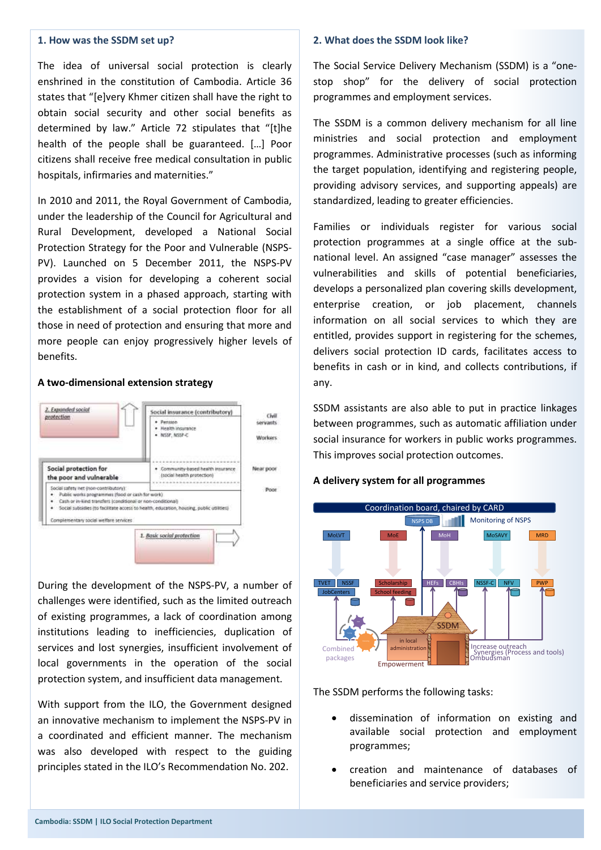#### **1. How was the SSDM set up?**

The idea of universal social protection is clearly enshrined in the constitution of Cambodia. Article 36 states that "[e]very Khmer citizen shall have the right to obtain social security and other social benefits as determined by law." Article 72 stipulates that "[t]he health of the people shall be guaranteed. […] Poor citizens shall receive free medical consultation in public hospitals, infirmaries and maternities."

In 2010 and 2011, the Royal Government of Cambodia, under the leadership of the Council for Agricultural and Rural Development, developed a National Social Protection Strategy for the Poor and Vulnerable (NSPS-PV). Launched on 5 December 2011, the NSPS-PV provides a vision for developing a coherent social protection system in a phased approach, starting with the establishment of a social protection floor for all those in need of protection and ensuring that more and more people can enjoy progressively higher levels of benefits.

#### **A two-dimensional extension strategy**



During the development of the NSPS-PV, a number of challenges were identified, such as the limited outreach of existing programmes, a lack of coordination among institutions leading to inefficiencies, duplication of services and lost synergies, insufficient involvement of local governments in the operation of the social protection system, and insufficient data management.

With support from the ILO, the Government designed an innovative mechanism to implement the NSPS-PV in a coordinated and efficient manner. The mechanism was also developed with respect to the guiding principles stated in the ILO's Recommendation No. 202.

#### **2. What does the SSDM look like?**

The Social Service Delivery Mechanism (SSDM) is a "onestop shop" for the delivery of social protection programmes and employment services.

The SSDM is a common delivery mechanism for all line ministries and social protection and employment programmes. Administrative processes (such as informing the target population, identifying and registering people, providing advisory services, and supporting appeals) are standardized, leading to greater efficiencies.

Families or individuals register for various social protection programmes at a single office at the subnational level. An assigned "case manager" assesses the vulnerabilities and skills of potential beneficiaries, develops a personalized plan covering skills development, enterprise creation, or job placement, channels information on all social services to which they are entitled, provides support in registering for the schemes, delivers social protection ID cards, facilitates access to benefits in cash or in kind, and collects contributions, if any.

SSDM assistants are also able to put in practice linkages between programmes, such as automatic affiliation under social insurance for workers in public works programmes. This improves social protection outcomes.

#### **A delivery system for all programmes**



The SSDM performs the following tasks:

- dissemination of information on existing and available social protection and employment programmes;
- creation and maintenance of databases of beneficiaries and service providers;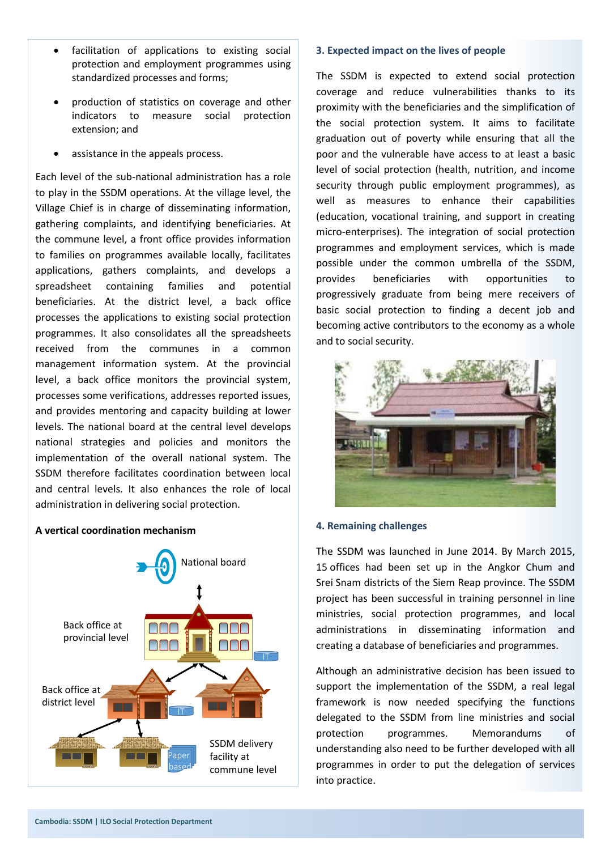- facilitation of applications to existing social protection and employment programmes using standardized processes and forms;
- production of statistics on coverage and other indicators to measure social protection extension; and
- assistance in the appeals process.

Each level of the sub-national administration has a role to play in the SSDM operations. At the village level, the Village Chief is in charge of disseminating information, gathering complaints, and identifying beneficiaries. At the commune level, a front office provides information to families on programmes available locally, facilitates applications, gathers complaints, and develops a spreadsheet containing families and potential beneficiaries. At the district level, a back office processes the applications to existing social protection programmes. It also consolidates all the spreadsheets received from the communes in a common management information system. At the provincial level, a back office monitors the provincial system, processes some verifications, addresses reported issues, and provides mentoring and capacity building at lower levels. The national board at the central level develops national strategies and policies and monitors the implementation of the overall national system. The SSDM therefore facilitates coordination between local and central levels. It also enhances the role of local administration in delivering social protection.

#### **A vertical coordination mechanism**



#### **3. Expected impact on the lives of people**

The SSDM is expected to extend social protection coverage and reduce vulnerabilities thanks to its proximity with the beneficiaries and the simplification of the social protection system. It aims to facilitate graduation out of poverty while ensuring that all the poor and the vulnerable have access to at least a basic level of social protection (health, nutrition, and income security through public employment programmes), as well as measures to enhance their capabilities (education, vocational training, and support in creating micro-enterprises). The integration of social protection programmes and employment services, which is made possible under the common umbrella of the SSDM, provides beneficiaries with opportunities to progressively graduate from being mere receivers of basic social protection to finding a decent job and becoming active contributors to the economy as a whole and to social security.



#### **4. Remaining challenges**

The SSDM was launched in June 2014. By March 2015, 15 offices had been set up in the Angkor Chum and Srei Snam districts of the Siem Reap province. The SSDM project has been successful in training personnel in line ministries, social protection programmes, and local administrations in disseminating information and creating a database of beneficiaries and programmes.

Although an administrative decision has been issued to support the implementation of the SSDM, a real legal framework is now needed specifying the functions delegated to the SSDM from line ministries and social protection programmes. Memorandums of understanding also need to be further developed with all programmes in order to put the delegation of services into practice.